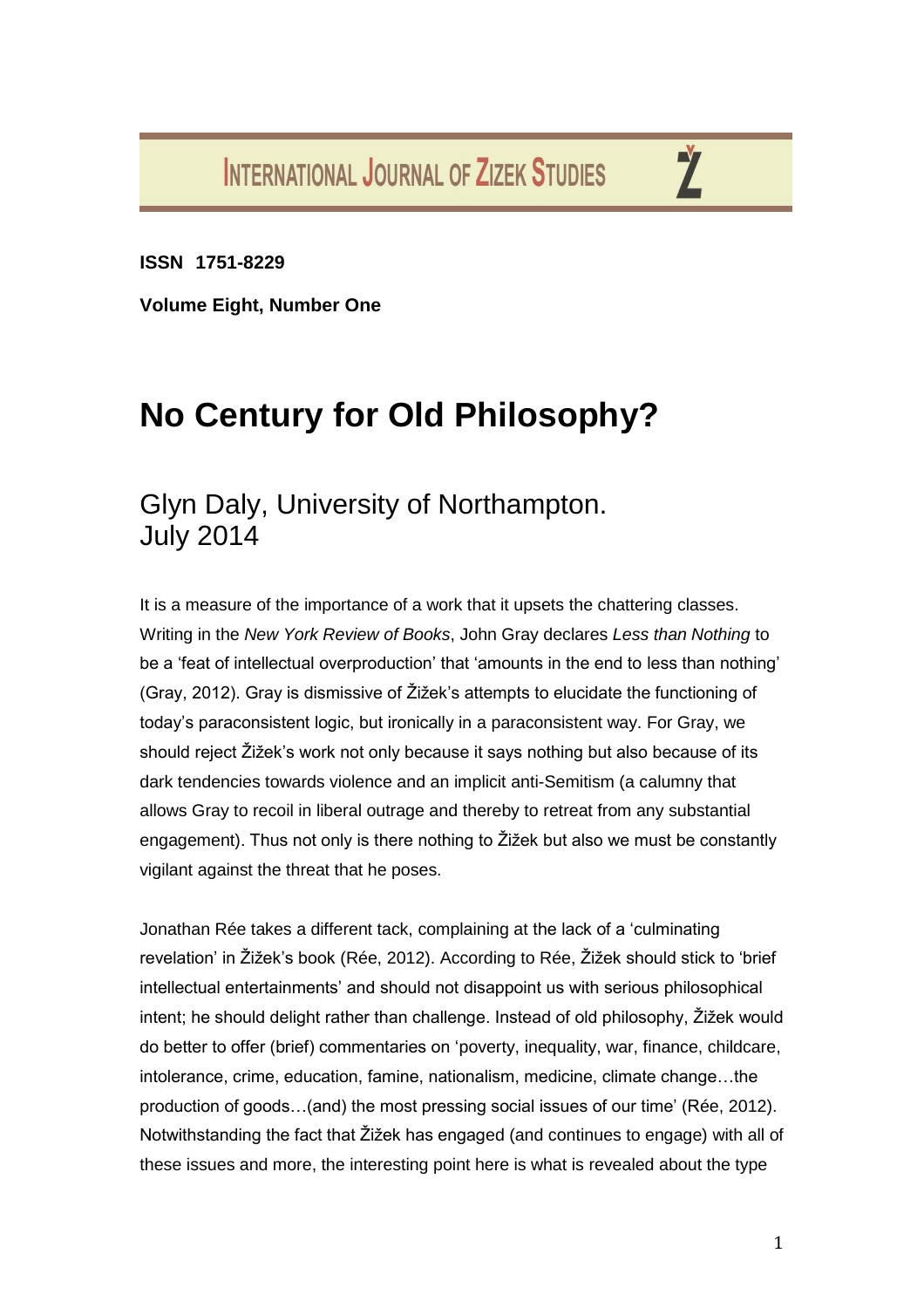**INTERNATIONAL JOURNAL OF ZIZEK STUDIES** 

Ž

**ISSN 1751-8229**

**Volume Eight, Number One**

## **No Century for Old Philosophy?**

## Glyn Daly, University of Northampton. July 2014

It is a measure of the importance of a work that it upsets the chattering classes. Writing in the *New York Review of Books*, John Gray declares *Less than Nothing* to be a 'feat of intellectual overproduction' that 'amounts in the end to less than nothing' (Gray, 2012). Gray is dismissive of Žižek's attempts to elucidate the functioning of today's paraconsistent logic, but ironically in a paraconsistent way. For Gray, we should reject Žižek's work not only because it says nothing but also because of its dark tendencies towards violence and an implicit anti-Semitism (a calumny that allows Gray to recoil in liberal outrage and thereby to retreat from any substantial engagement). Thus not only is there nothing to Žižek but also we must be constantly vigilant against the threat that he poses.

Jonathan Rée takes a different tack, complaining at the lack of a 'culminating revelation' in Žižek's book (Rée, 2012). According to Rée, Žižek should stick to 'brief intellectual entertainments' and should not disappoint us with serious philosophical intent; he should delight rather than challenge. Instead of old philosophy, Žižek would do better to offer (brief) commentaries on 'poverty, inequality, war, finance, childcare, intolerance, crime, education, famine, nationalism, medicine, climate change…the production of goods…(and) the most pressing social issues of our time' (Rée, 2012). Notwithstanding the fact that Žižek has engaged (and continues to engage) with all of these issues and more, the interesting point here is what is revealed about the type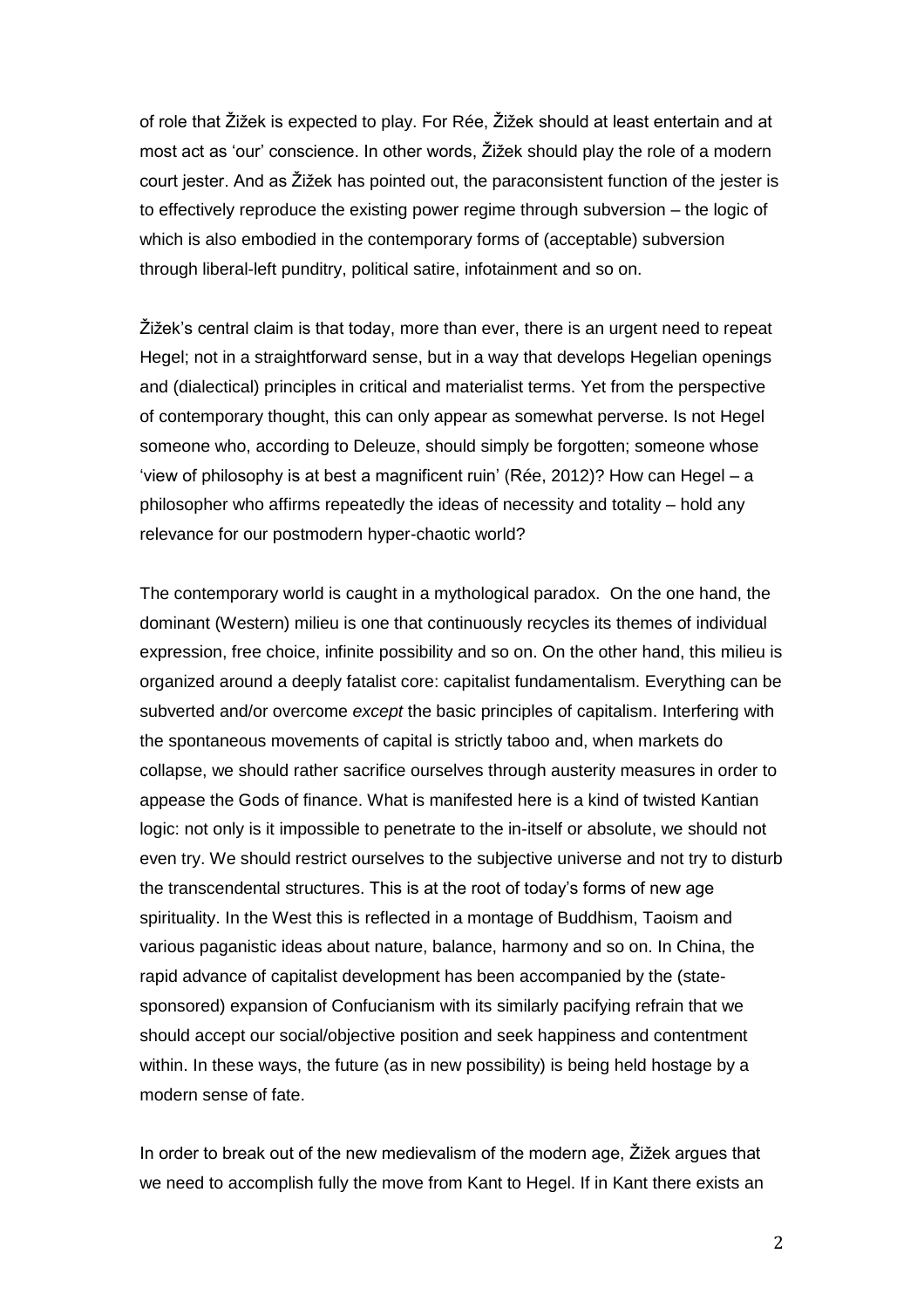of role that Žižek is expected to play. For Rée, Žižek should at least entertain and at most act as 'our' conscience. In other words, Žižek should play the role of a modern court jester. And as Žižek has pointed out, the paraconsistent function of the jester is to effectively reproduce the existing power regime through subversion – the logic of which is also embodied in the contemporary forms of (acceptable) subversion through liberal-left punditry, political satire, infotainment and so on.

Žižek's central claim is that today, more than ever, there is an urgent need to repeat Hegel; not in a straightforward sense, but in a way that develops Hegelian openings and (dialectical) principles in critical and materialist terms. Yet from the perspective of contemporary thought, this can only appear as somewhat perverse. Is not Hegel someone who, according to Deleuze, should simply be forgotten; someone whose 'view of philosophy is at best a magnificent ruin' (Rée, 2012)? How can Hegel – a philosopher who affirms repeatedly the ideas of necessity and totality – hold any relevance for our postmodern hyper-chaotic world?

The contemporary world is caught in a mythological paradox. On the one hand, the dominant (Western) milieu is one that continuously recycles its themes of individual expression, free choice, infinite possibility and so on. On the other hand, this milieu is organized around a deeply fatalist core: capitalist fundamentalism. Everything can be subverted and/or overcome *except* the basic principles of capitalism. Interfering with the spontaneous movements of capital is strictly taboo and, when markets do collapse, we should rather sacrifice ourselves through austerity measures in order to appease the Gods of finance. What is manifested here is a kind of twisted Kantian logic: not only is it impossible to penetrate to the in-itself or absolute, we should not even try. We should restrict ourselves to the subjective universe and not try to disturb the transcendental structures. This is at the root of today's forms of new age spirituality. In the West this is reflected in a montage of Buddhism, Taoism and various paganistic ideas about nature, balance, harmony and so on. In China, the rapid advance of capitalist development has been accompanied by the (statesponsored) expansion of Confucianism with its similarly pacifying refrain that we should accept our social/objective position and seek happiness and contentment within. In these ways, the future (as in new possibility) is being held hostage by a modern sense of fate.

In order to break out of the new medievalism of the modern age, Žižek argues that we need to accomplish fully the move from Kant to Hegel. If in Kant there exists an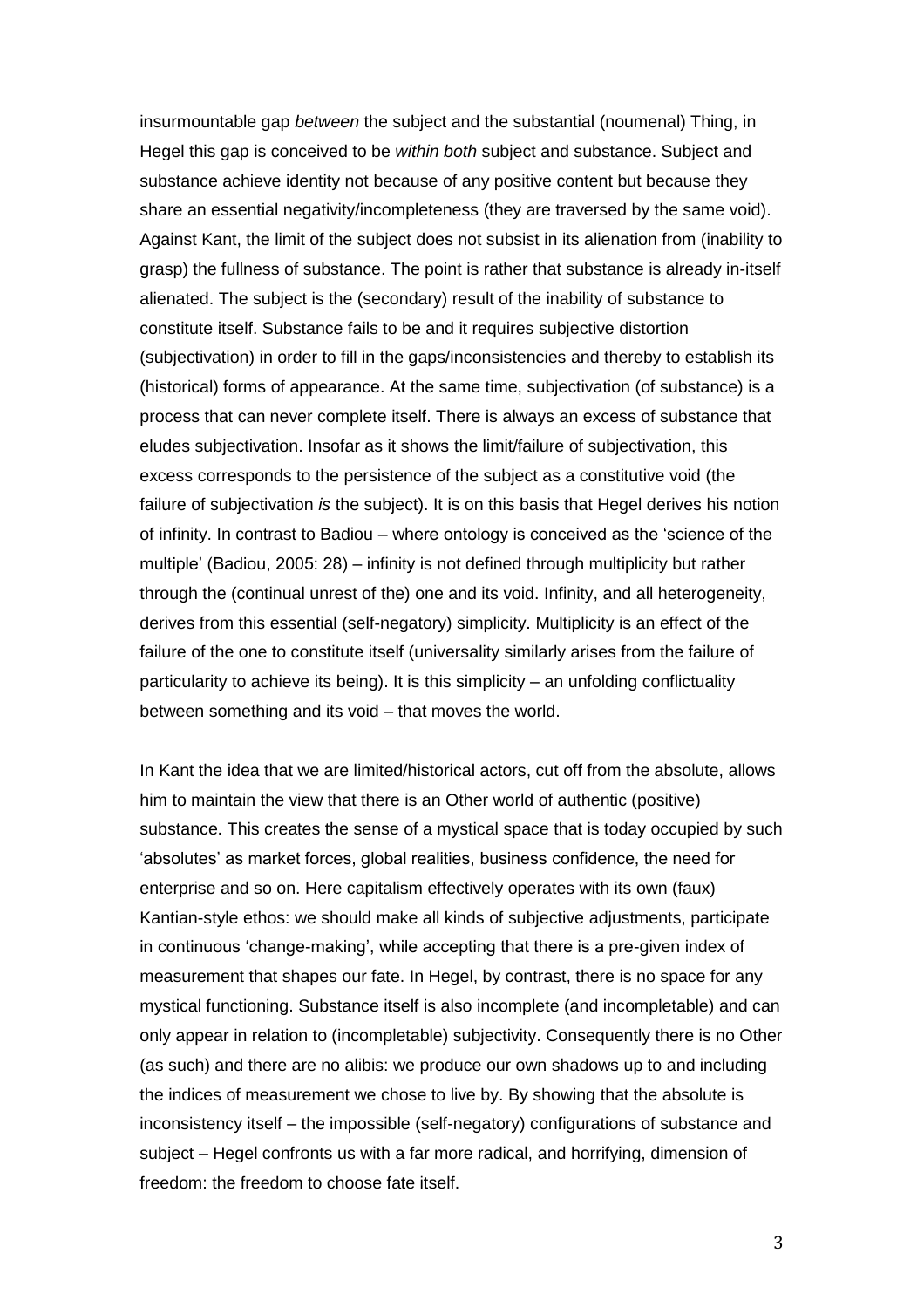insurmountable gap *between* the subject and the substantial (noumenal) Thing, in Hegel this gap is conceived to be *within both* subject and substance. Subject and substance achieve identity not because of any positive content but because they share an essential negativity/incompleteness (they are traversed by the same void). Against Kant, the limit of the subject does not subsist in its alienation from (inability to grasp) the fullness of substance. The point is rather that substance is already in-itself alienated. The subject is the (secondary) result of the inability of substance to constitute itself. Substance fails to be and it requires subjective distortion (subjectivation) in order to fill in the gaps/inconsistencies and thereby to establish its (historical) forms of appearance. At the same time, subjectivation (of substance) is a process that can never complete itself. There is always an excess of substance that eludes subjectivation. Insofar as it shows the limit/failure of subjectivation, this excess corresponds to the persistence of the subject as a constitutive void (the failure of subjectivation *is* the subject). It is on this basis that Hegel derives his notion of infinity. In contrast to Badiou – where ontology is conceived as the 'science of the multiple' (Badiou, 2005: 28) – infinity is not defined through multiplicity but rather through the (continual unrest of the) one and its void. Infinity, and all heterogeneity, derives from this essential (self-negatory) simplicity. Multiplicity is an effect of the failure of the one to constitute itself (universality similarly arises from the failure of particularity to achieve its being). It is this simplicity – an unfolding conflictuality between something and its void – that moves the world.

In Kant the idea that we are limited/historical actors, cut off from the absolute, allows him to maintain the view that there is an Other world of authentic (positive) substance. This creates the sense of a mystical space that is today occupied by such 'absolutes' as market forces, global realities, business confidence, the need for enterprise and so on. Here capitalism effectively operates with its own (faux) Kantian-style ethos: we should make all kinds of subjective adjustments, participate in continuous 'change-making', while accepting that there is a pre-given index of measurement that shapes our fate. In Hegel, by contrast, there is no space for any mystical functioning. Substance itself is also incomplete (and incompletable) and can only appear in relation to (incompletable) subjectivity. Consequently there is no Other (as such) and there are no alibis: we produce our own shadows up to and including the indices of measurement we chose to live by. By showing that the absolute is inconsistency itself – the impossible (self-negatory) configurations of substance and subject – Hegel confronts us with a far more radical, and horrifying, dimension of freedom: the freedom to choose fate itself.

3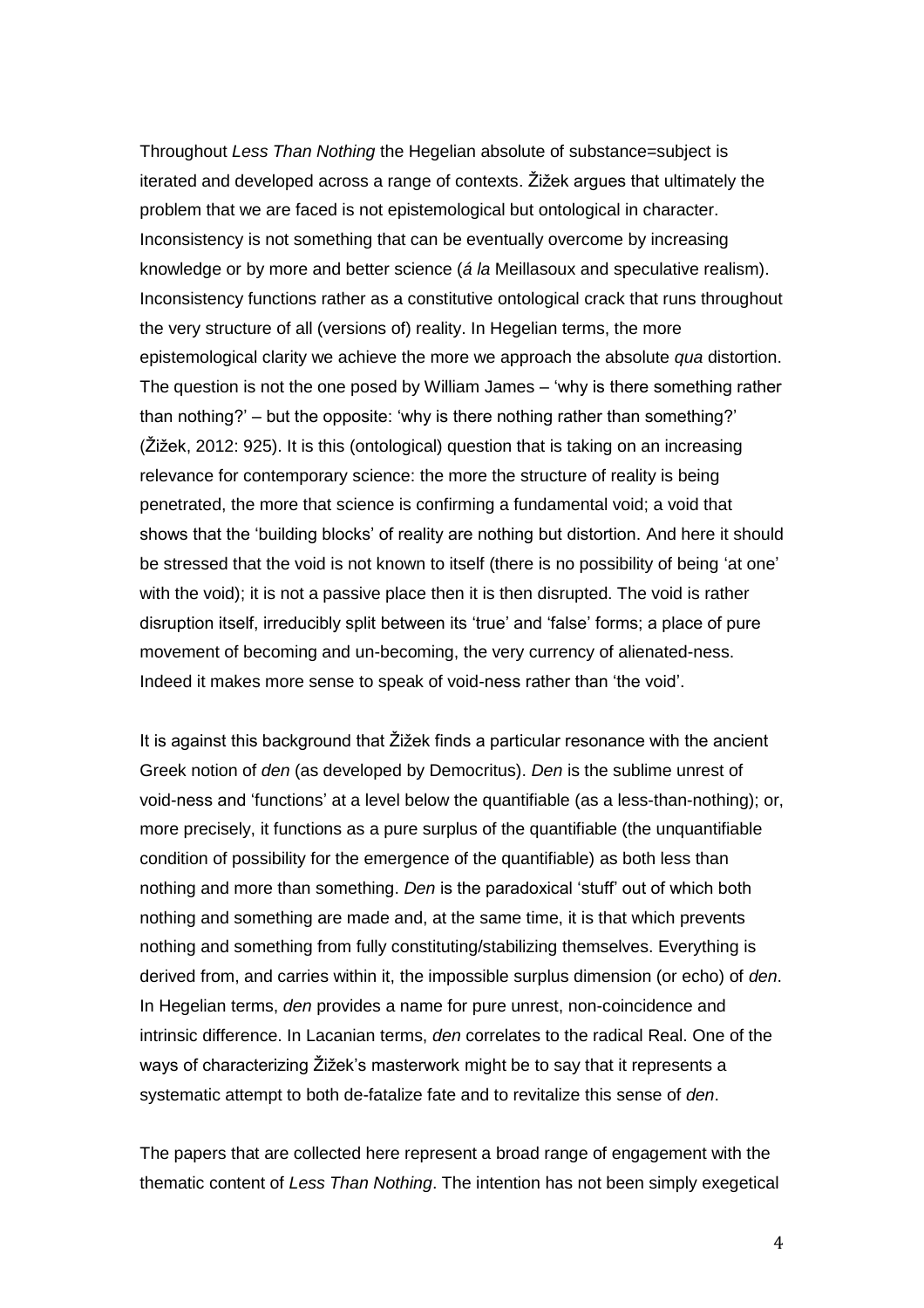Throughout *Less Than Nothing* the Hegelian absolute of substance=subject is iterated and developed across a range of contexts. Žižek argues that ultimately the problem that we are faced is not epistemological but ontological in character. Inconsistency is not something that can be eventually overcome by increasing knowledge or by more and better science (*á la* Meillasoux and speculative realism). Inconsistency functions rather as a constitutive ontological crack that runs throughout the very structure of all (versions of) reality. In Hegelian terms, the more epistemological clarity we achieve the more we approach the absolute *qua* distortion. The question is not the one posed by William James – 'why is there something rather than nothing?' – but the opposite: 'why is there nothing rather than something?' (Žižek, 2012: 925). It is this (ontological) question that is taking on an increasing relevance for contemporary science: the more the structure of reality is being penetrated, the more that science is confirming a fundamental void; a void that shows that the 'building blocks' of reality are nothing but distortion. And here it should be stressed that the void is not known to itself (there is no possibility of being 'at one' with the void); it is not a passive place then it is then disrupted. The void is rather disruption itself, irreducibly split between its 'true' and 'false' forms; a place of pure movement of becoming and un-becoming, the very currency of alienated-ness. Indeed it makes more sense to speak of void-ness rather than 'the void'.

It is against this background that Žižek finds a particular resonance with the ancient Greek notion of *den* (as developed by Democritus). *Den* is the sublime unrest of void-ness and 'functions' at a level below the quantifiable (as a less-than-nothing); or, more precisely, it functions as a pure surplus of the quantifiable (the unquantifiable condition of possibility for the emergence of the quantifiable) as both less than nothing and more than something. *Den* is the paradoxical 'stuff' out of which both nothing and something are made and, at the same time, it is that which prevents nothing and something from fully constituting/stabilizing themselves. Everything is derived from, and carries within it, the impossible surplus dimension (or echo) of *den*. In Hegelian terms, *den* provides a name for pure unrest, non-coincidence and intrinsic difference. In Lacanian terms, *den* correlates to the radical Real. One of the ways of characterizing Žižek's masterwork might be to say that it represents a systematic attempt to both de-fatalize fate and to revitalize this sense of *den*.

The papers that are collected here represent a broad range of engagement with the thematic content of *Less Than Nothing*. The intention has not been simply exegetical

4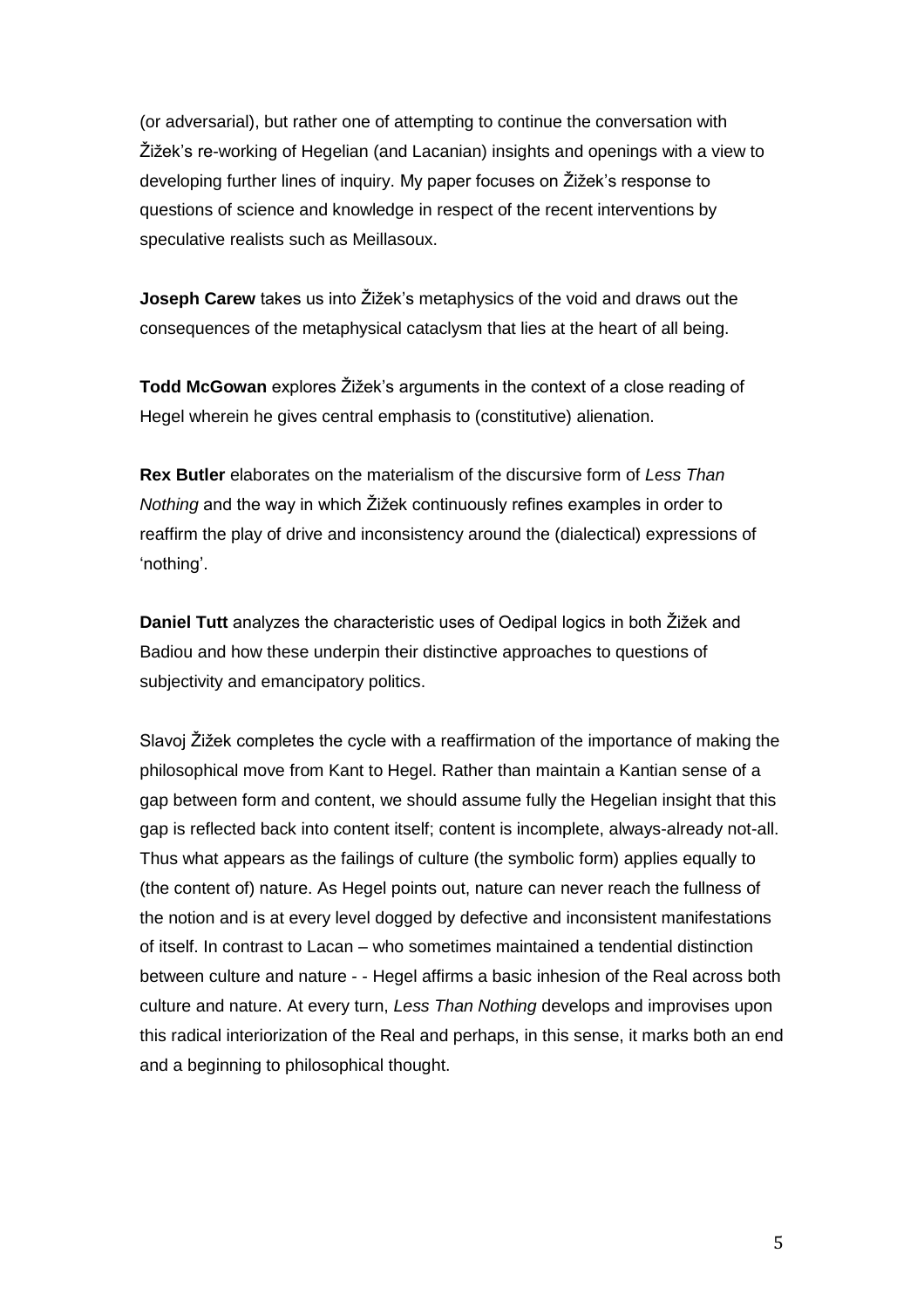(or adversarial), but rather one of attempting to continue the conversation with Žižek's re-working of Hegelian (and Lacanian) insights and openings with a view to developing further lines of inquiry. My paper focuses on Žižek's response to questions of science and knowledge in respect of the recent interventions by speculative realists such as Meillasoux.

**Joseph Carew** takes us into Žižek's metaphysics of the void and draws out the consequences of the metaphysical cataclysm that lies at the heart of all being.

**Todd McGowan** explores Žižek's arguments in the context of a close reading of Hegel wherein he gives central emphasis to (constitutive) alienation.

**Rex Butler** elaborates on the materialism of the discursive form of *Less Than Nothing* and the way in which Žižek continuously refines examples in order to reaffirm the play of drive and inconsistency around the (dialectical) expressions of 'nothing'.

**Daniel Tutt** analyzes the characteristic uses of Oedipal logics in both Žižek and Badiou and how these underpin their distinctive approaches to questions of subjectivity and emancipatory politics.

Slavoj Žižek completes the cycle with a reaffirmation of the importance of making the philosophical move from Kant to Hegel. Rather than maintain a Kantian sense of a gap between form and content, we should assume fully the Hegelian insight that this gap is reflected back into content itself; content is incomplete, always-already not-all. Thus what appears as the failings of culture (the symbolic form) applies equally to (the content of) nature. As Hegel points out, nature can never reach the fullness of the notion and is at every level dogged by defective and inconsistent manifestations of itself. In contrast to Lacan – who sometimes maintained a tendential distinction between culture and nature - - Hegel affirms a basic inhesion of the Real across both culture and nature. At every turn, *Less Than Nothing* develops and improvises upon this radical interiorization of the Real and perhaps, in this sense, it marks both an end and a beginning to philosophical thought.